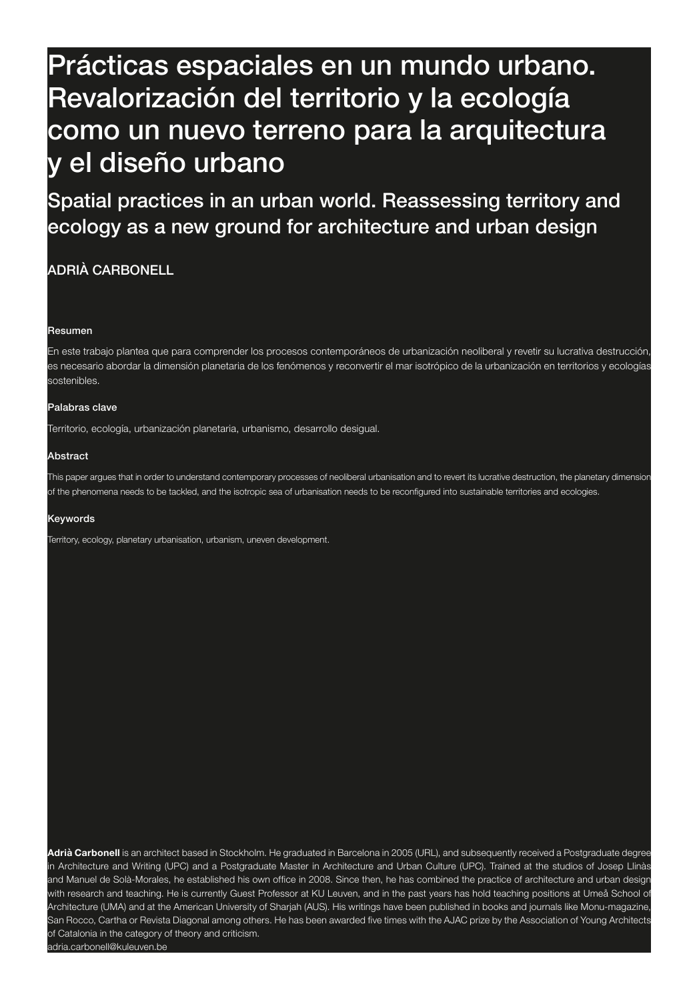# 120 Prácticas espaciales en un mundo urbano. Revalorización del territorio y la ecología Prácticas espaciales como un nuevo terreno para la arquitectura Revalorización del y el diseño urbano como un nuevo terreno

Spatial practices in an urban world. Reassessing territory and Spatial practices in an erology s ecology as a new ground for architecture and urban design

# ADRIÀ CARBONELL

#### Resumen

En este trabajo plantea que para comprender los procesos contemporáneos de urbanización neoliberal y revetir su lucrativa destrucción es necesario abordar la dimensión planetaria de los fenómenos y reconvertir el mar isotrópico de la urbanización en territorios y ecologías sostenibles.

### Palabras clave

Territorio, ecología, urbanización planetaria, urbanismo, desarrollo desigual.

### Abstract

This paper argues that in order to understand contemporary processes of neoliberal urbanisation and to revert its lucrative destruction, the planetary dimension of the phenomena needs to be tackled, and the isotropic sea of urbanisation needs to be reconfigured into sustainable territories and ecologies.

#### Keywords

Territory, ecology, planetary urbanisation, urbanism, uneven development.

**Adrià Carbonell** is an architect based in Stockholm. He graduated in Barcelona in 2005 (URL), and subsequently received a Postgraduate degree in Architecture and Writing (UPC) and a Postgraduate Master in Architecture and Urban Culture (UPC). Trained at the studios of Josep Llinàs and Manuel de Solà-Morales, he established his own office in 2008. Since then, he has combined the practice of architecture and urban design with research and teaching. He is currently Guest Professor at KU Leuven, and in the past years has hold teaching positions at Umeå School of Architecture (UMA) and at the American University of Sharjah (AUS). His writings have been published in books and journals like Monu-magazine, San Rocco, Cartha or Revista Diagonal among others. He has been awarded five times with the AJAC prize by the Association of Young Architects of Catalonia in the category of theory and criticism. adria.carbonell@kuleuven.be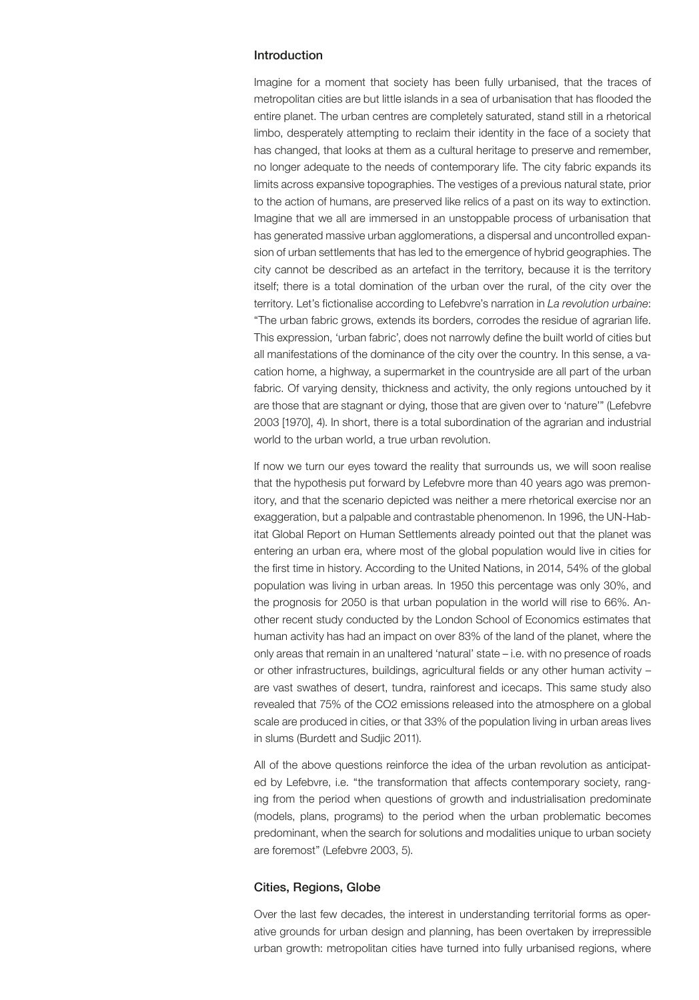# Introduction

Imagine for a moment that society has been fully urbanised, that the traces of metropolitan cities are but little islands in a sea of urbanisation that has flooded the entire planet. The urban centres are completely saturated, stand still in a rhetorical limbo, desperately attempting to reclaim their identity in the face of a society that has changed, that looks at them as a cultural heritage to preserve and remember, no longer adequate to the needs of contemporary life. The city fabric expands its limits across expansive topographies. The vestiges of a previous natural state, prior to the action of humans, are preserved like relics of a past on its way to extinction. Imagine that we all are immersed in an unstoppable process of urbanisation that has generated massive urban agglomerations, a dispersal and uncontrolled expansion of urban settlements that has led to the emergence of hybrid geographies. The city cannot be described as an artefact in the territory, because it is the territory itself; there is a total domination of the urban over the rural, of the city over the territory. Let's fictionalise according to Lefebvre's narration in *La revolution urbaine*: "The urban fabric grows, extends its borders, corrodes the residue of agrarian life. This expression, 'urban fabric', does not narrowly define the built world of cities but all manifestations of the dominance of the city over the country. In this sense, a vacation home, a highway, a supermarket in the countryside are all part of the urban fabric. Of varying density, thickness and activity, the only regions untouched by it are those that are stagnant or dying, those that are given over to 'nature'" (Lefebvre 2003 [1970], 4). In short, there is a total subordination of the agrarian and industrial world to the urban world, a true urban revolution.

If now we turn our eyes toward the reality that surrounds us, we will soon realise that the hypothesis put forward by Lefebvre more than 40 years ago was premonitory, and that the scenario depicted was neither a mere rhetorical exercise nor an exaggeration, but a palpable and contrastable phenomenon. In 1996, the UN-Habitat Global Report on Human Settlements already pointed out that the planet was entering an urban era, where most of the global population would live in cities for the first time in history. According to the United Nations, in 2014, 54% of the global population was living in urban areas. In 1950 this percentage was only 30%, and the prognosis for 2050 is that urban population in the world will rise to 66%. Another recent study conducted by the London School of Economics estimates that human activity has had an impact on over 83% of the land of the planet, where the only areas that remain in an unaltered 'natural' state – i.e. with no presence of roads or other infrastructures, buildings, agricultural fields or any other human activity – are vast swathes of desert, tundra, rainforest and icecaps. This same study also revealed that 75% of the CO2 emissions released into the atmosphere on a global scale are produced in cities, or that 33% of the population living in urban areas lives in slums (Burdett and Sudjic 2011).

All of the above questions reinforce the idea of the urban revolution as anticipated by Lefebvre, i.e. "the transformation that affects contemporary society, ranging from the period when questions of growth and industrialisation predominate (models, plans, programs) to the period when the urban problematic becomes predominant, when the search for solutions and modalities unique to urban society are foremost" (Lefebvre 2003, 5).

## Cities, Regions, Globe

Over the last few decades, the interest in understanding territorial forms as operative grounds for urban design and planning, has been overtaken by irrepressible urban growth: metropolitan cities have turned into fully urbanised regions, where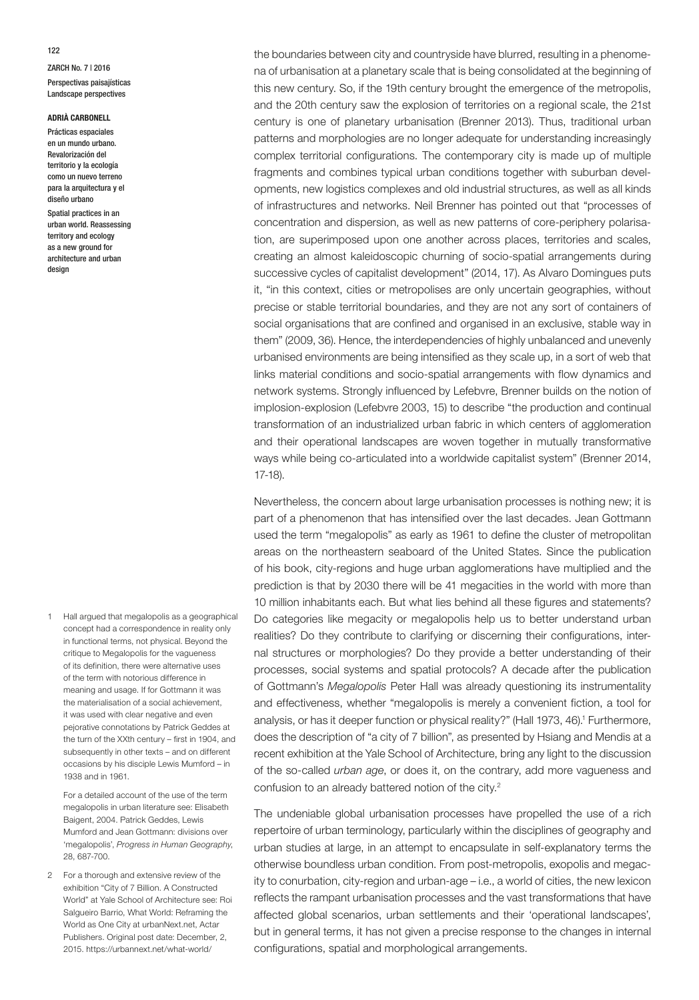## **ADRIÀ CARBONELL**

Prácticas espaciales en un mundo urbano. Revalorización del territorio y la ecología como un nuevo terreno para la arquitectura y el diseño urbano

Spatial practices in an urban world. Reassessing territory and ecology as a new ground for architecture and urban design

1 Hall argued that megalopolis as a geographical concept had a correspondence in reality only in functional terms, not physical. Beyond the critique to Megalopolis for the vagueness of its definition, there were alternative uses of the term with notorious difference in meaning and usage. If for Gottmann it was the materialisation of a social achievement, it was used with clear negative and even pejorative connotations by Patrick Geddes at the turn of the XXth century – first in 1904, and subsequently in other texts – and on different occasions by his disciple Lewis Mumford – in 1938 and in 1961.

For a detailed account of the use of the term megalopolis in urban literature see: Elisabeth Baigent, 2004. Patrick Geddes, Lewis Mumford and Jean Gottmann: divisions over 'megalopolis', *Progress in Human Geography*, 28, 687-700.

2 For a thorough and extensive review of the exhibition "City of 7 Billion. A Constructed World" at Yale School of Architecture see: Roi Salgueiro Barrio, What World: Reframing the World as One City at urbanNext.net, Actar Publishers. Original post date: December, 2, 2015. https://urbannext.net/what-world/

the boundaries between city and countryside have blurred, resulting in a phenomena of urbanisation at a planetary scale that is being consolidated at the beginning of this new century. So, if the 19th century brought the emergence of the metropolis, and the 20th century saw the explosion of territories on a regional scale, the 21st century is one of planetary urbanisation (Brenner 2013). Thus, traditional urban patterns and morphologies are no longer adequate for understanding increasingly complex territorial configurations. The contemporary city is made up of multiple fragments and combines typical urban conditions together with suburban developments, new logistics complexes and old industrial structures, as well as all kinds of infrastructures and networks. Neil Brenner has pointed out that "processes of concentration and dispersion, as well as new patterns of core-periphery polarisation, are superimposed upon one another across places, territories and scales, creating an almost kaleidoscopic churning of socio-spatial arrangements during successive cycles of capitalist development" (2014, 17). As Alvaro Domingues puts it, "in this context, cities or metropolises are only uncertain geographies, without precise or stable territorial boundaries, and they are not any sort of containers of social organisations that are confined and organised in an exclusive, stable way in them" (2009, 36). Hence, the interdependencies of highly unbalanced and unevenly urbanised environments are being intensified as they scale up, in a sort of web that links material conditions and socio-spatial arrangements with flow dynamics and network systems. Strongly influenced by Lefebvre, Brenner builds on the notion of implosion-explosion (Lefebvre 2003, 15) to describe "the production and continual transformation of an industrialized urban fabric in which centers of agglomeration and their operational landscapes are woven together in mutually transformative ways while being co-articulated into a worldwide capitalist system" (Brenner 2014, 17-18).

Nevertheless, the concern about large urbanisation processes is nothing new; it is part of a phenomenon that has intensified over the last decades. Jean Gottmann used the term "megalopolis" as early as 1961 to define the cluster of metropolitan areas on the northeastern seaboard of the United States. Since the publication of his book, city-regions and huge urban agglomerations have multiplied and the prediction is that by 2030 there will be 41 megacities in the world with more than 10 million inhabitants each. But what lies behind all these figures and statements? Do categories like megacity or megalopolis help us to better understand urban realities? Do they contribute to clarifying or discerning their configurations, internal structures or morphologies? Do they provide a better understanding of their processes, social systems and spatial protocols? A decade after the publication of Gottmann's *Megalopolis* Peter Hall was already questioning its instrumentality and effectiveness, whether "megalopolis is merely a convenient fiction, a tool for analysis, or has it deeper function or physical reality?" (Hall 1973, 46).<sup>1</sup> Furthermore, does the description of "a city of 7 billion", as presented by Hsiang and Mendis at a recent exhibition at the Yale School of Architecture, bring any light to the discussion of the so-called *urban age*, or does it, on the contrary, add more vagueness and confusion to an already battered notion of the city.<sup>2</sup>

The undeniable global urbanisation processes have propelled the use of a rich repertoire of urban terminology, particularly within the disciplines of geography and urban studies at large, in an attempt to encapsulate in self-explanatory terms the otherwise boundless urban condition. From post-metropolis, exopolis and megacity to conurbation, city-region and urban-age – i.e., a world of cities, the new lexicon reflects the rampant urbanisation processes and the vast transformations that have affected global scenarios, urban settlements and their 'operational landscapes', but in general terms, it has not given a precise response to the changes in internal configurations, spatial and morphological arrangements.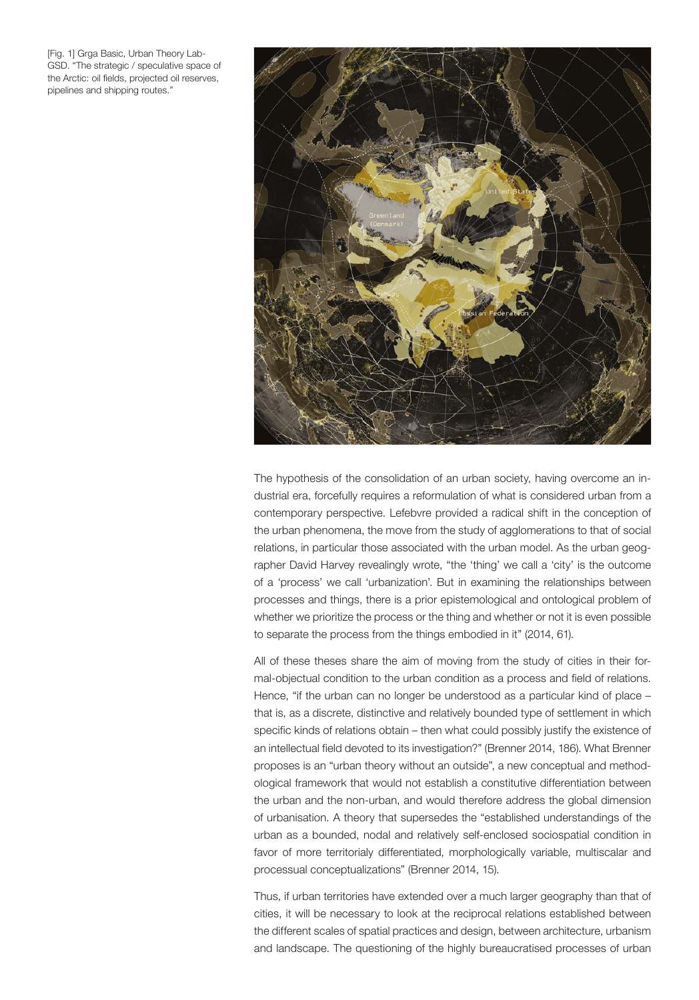[Fig. 1] Grga Basic, Urban Theory Lab-GSD. "The strategic / speculative space of the Arctic: oil fields, projected oil reserves, pipelines and shipping routes."



The hypothesis of the consolidation of an urban society, having overcome an industrial era, forcefully requires a reformulation of what is considered urban from a contemporary perspective. Lefebvre provided a radical shift in the conception of the urban phenomena, the move from the study of agglomerations to that of social relations, in particular those associated with the urban model. As the urban geographer David Harvey revealingly wrote, "the 'thing' we call a 'city' is the outcome of a 'process' we call 'urbanization'. But in examining the relationships between processes and things, there is a prior epistemological and ontological problem of whether we prioritize the process or the thing and whether or not it is even possible to separate the process from the things embodied in it" (2014, 61).

All of these theses share the aim of moving from the study of cities in their formal-objectual condition to the urban condition as a process and field of relations. Hence, "if the urban can no longer be understood as a particular kind of place – that is, as a discrete, distinctive and relatively bounded type of settlement in which specific kinds of relations obtain – then what could possibly justify the existence of an intellectual field devoted to its investigation?" (Brenner 2014, 186). What Brenner proposes is an "urban theory without an outside", a new conceptual and methodological framework that would not establish a constitutive differentiation between the urban and the non-urban, and would therefore address the global dimension of urbanisation. A theory that supersedes the "established understandings of the urban as a bounded, nodal and relatively self-enclosed sociospatial condition in favor of more territorialy differentiated, morphologically variable, multiscalar and processual conceptualizations" (Brenner 2014, 15).

Thus, if urban territories have extended over a much larger geography than that of cities, it will be necessary to look at the reciprocal relations established between the different scales of spatial practices and design, between architecture, urbanism and landscape. The questioning of the highly bureaucratised processes of urban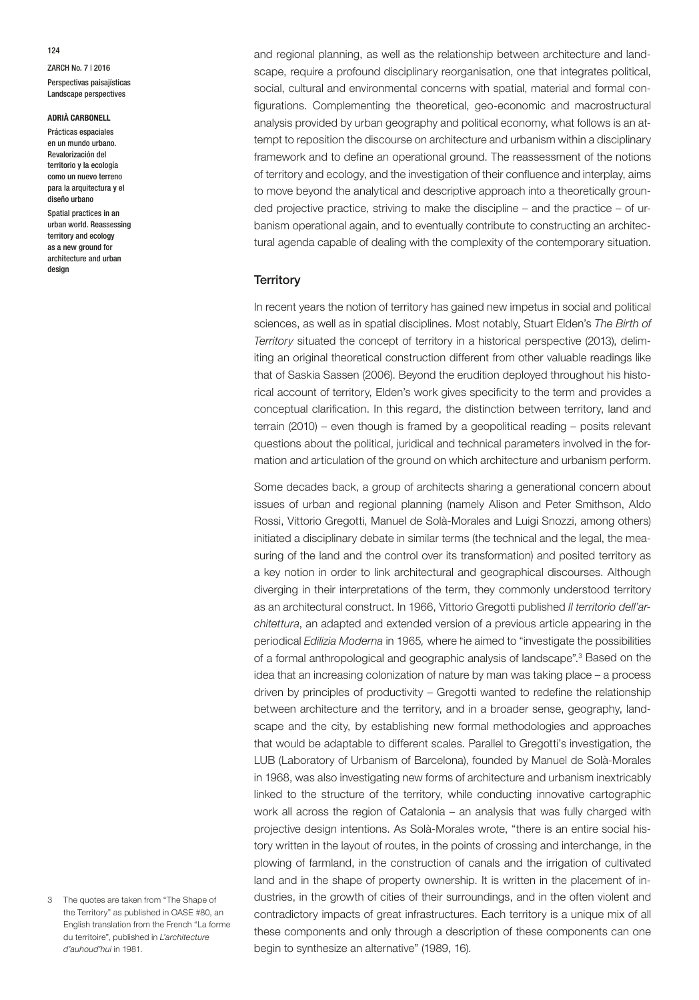## **ADRIÀ CARBONELL**

Prácticas espaciales en un mundo urbano. Revalorización del territorio y la ecología como un nuevo terreno para la arquitectura y el diseño urbano

Spatial practices in an urban world. Reassessing territory and ecology as a new ground for architecture and urban design

and regional planning, as well as the relationship between architecture and landscape, require a profound disciplinary reorganisation, one that integrates political, social, cultural and environmental concerns with spatial, material and formal configurations. Complementing the theoretical, geo-economic and macrostructural analysis provided by urban geography and political economy, what follows is an attempt to reposition the discourse on architecture and urbanism within a disciplinary framework and to define an operational ground. The reassessment of the notions of territory and ecology, and the investigation of their confluence and interplay, aims to move beyond the analytical and descriptive approach into a theoretically grounded projective practice, striving to make the discipline – and the practice – of urbanism operational again, and to eventually contribute to constructing an architectural agenda capable of dealing with the complexity of the contemporary situation.

## **Territory**

In recent years the notion of territory has gained new impetus in social and political sciences, as well as in spatial disciplines. Most notably, Stuart Elden's *The Birth of Territory* situated the concept of territory in a historical perspective (2013), delimiting an original theoretical construction different from other valuable readings like that of Saskia Sassen (2006). Beyond the erudition deployed throughout his historical account of territory, Elden's work gives specificity to the term and provides a conceptual clarification. In this regard, the distinction between territory, land and terrain (2010) – even though is framed by a geopolitical reading – posits relevant questions about the political, juridical and technical parameters involved in the formation and articulation of the ground on which architecture and urbanism perform.

Some decades back, a group of architects sharing a generational concern about issues of urban and regional planning (namely Alison and Peter Smithson, Aldo Rossi, Vittorio Gregotti, Manuel de Solà-Morales and Luigi Snozzi, among others) initiated a disciplinary debate in similar terms (the technical and the legal, the measuring of the land and the control over its transformation) and posited territory as a key notion in order to link architectural and geographical discourses. Although diverging in their interpretations of the term, they commonly understood territory as an architectural construct. In 1966, Vittorio Gregotti published *Il territorio dell'architettura*, an adapted and extended version of a previous article appearing in the periodical *Edilizia Moderna* in 1965*,* where he aimed to "investigate the possibilities of a formal anthropological and geographic analysis of landscape".<sup>3</sup> Based on the idea that an increasing colonization of nature by man was taking place – a process driven by principles of productivity – Gregotti wanted to redefine the relationship between architecture and the territory, and in a broader sense, geography, landscape and the city, by establishing new formal methodologies and approaches that would be adaptable to different scales. Parallel to Gregotti's investigation, the LUB (Laboratory of Urbanism of Barcelona), founded by Manuel de Solà-Morales in 1968, was also investigating new forms of architecture and urbanism inextricably linked to the structure of the territory, while conducting innovative cartographic work all across the region of Catalonia – an analysis that was fully charged with projective design intentions. As Solà-Morales wrote, "there is an entire social history written in the layout of routes, in the points of crossing and interchange, in the plowing of farmland, in the construction of canals and the irrigation of cultivated land and in the shape of property ownership. It is written in the placement of industries, in the growth of cities of their surroundings, and in the often violent and contradictory impacts of great infrastructures. Each territory is a unique mix of all these components and only through a description of these components can one begin to synthesize an alternative" (1989, 16).

124

<sup>3</sup> The quotes are taken from "The Shape of the Territory" as published in OASE #80, an English translation from the French "La forme du territoire", published in *L'architecture d'auhoud'hui* in 1981.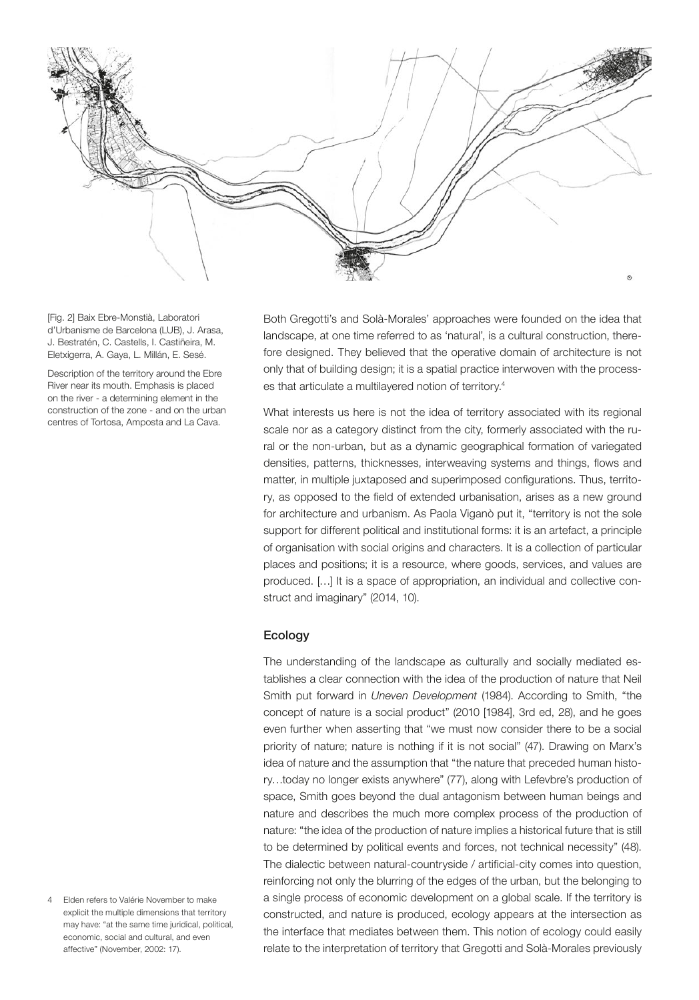

[Fig. 2] Baix Ebre-Monstià, Laboratori d'Urbanisme de Barcelona (LUB), J. Arasa, J. Bestratén, C. Castells, I. Castiñeira, M. Eletxigerra, A. Gaya, L. Millán, E. Sesé.

Description of the territory around the Ebre River near its mouth. Emphasis is placed on the river - a determining element in the construction of the zone - and on the urban centres of Tortosa, Amposta and La Cava.

Both Gregotti's and Solà-Morales' approaches were founded on the idea that landscape, at one time referred to as 'natural', is a cultural construction, therefore designed. They believed that the operative domain of architecture is not only that of building design; it is a spatial practice interwoven with the processes that articulate a multilayered notion of territory.4

What interests us here is not the idea of territory associated with its regional scale nor as a category distinct from the city, formerly associated with the rural or the non-urban, but as a dynamic geographical formation of variegated densities, patterns, thicknesses, interweaving systems and things, flows and matter, in multiple juxtaposed and superimposed configurations. Thus, territory, as opposed to the field of extended urbanisation, arises as a new ground for architecture and urbanism. As Paola Viganò put it, "territory is not the sole support for different political and institutional forms: it is an artefact, a principle of organisation with social origins and characters. It is a collection of particular places and positions; it is a resource, where goods, services, and values are produced. […] It is a space of appropriation, an individual and collective construct and imaginary" (2014, 10).

# Ecology

The understanding of the landscape as culturally and socially mediated establishes a clear connection with the idea of the production of nature that Neil Smith put forward in *Uneven Development* (1984). According to Smith, "the concept of nature is a social product" (2010 [1984], 3rd ed, 28), and he goes even further when asserting that "we must now consider there to be a social priority of nature; nature is nothing if it is not social" (47). Drawing on Marx's idea of nature and the assumption that "the nature that preceded human history…today no longer exists anywhere" (77), along with Lefevbre's production of space, Smith goes beyond the dual antagonism between human beings and nature and describes the much more complex process of the production of nature: "the idea of the production of nature implies a historical future that is still to be determined by political events and forces, not technical necessity" (48). The dialectic between natural-countryside / artificial-city comes into question, reinforcing not only the blurring of the edges of the urban, but the belonging to a single process of economic development on a global scale. If the territory is constructed, and nature is produced, ecology appears at the intersection as the interface that mediates between them. This notion of ecology could easily relate to the interpretation of territory that Gregotti and Solà-Morales previously

4 Elden refers to Valérie November to make explicit the multiple dimensions that territory may have: "at the same time juridical, political, economic, social and cultural, and even affective" (November, 2002: 17).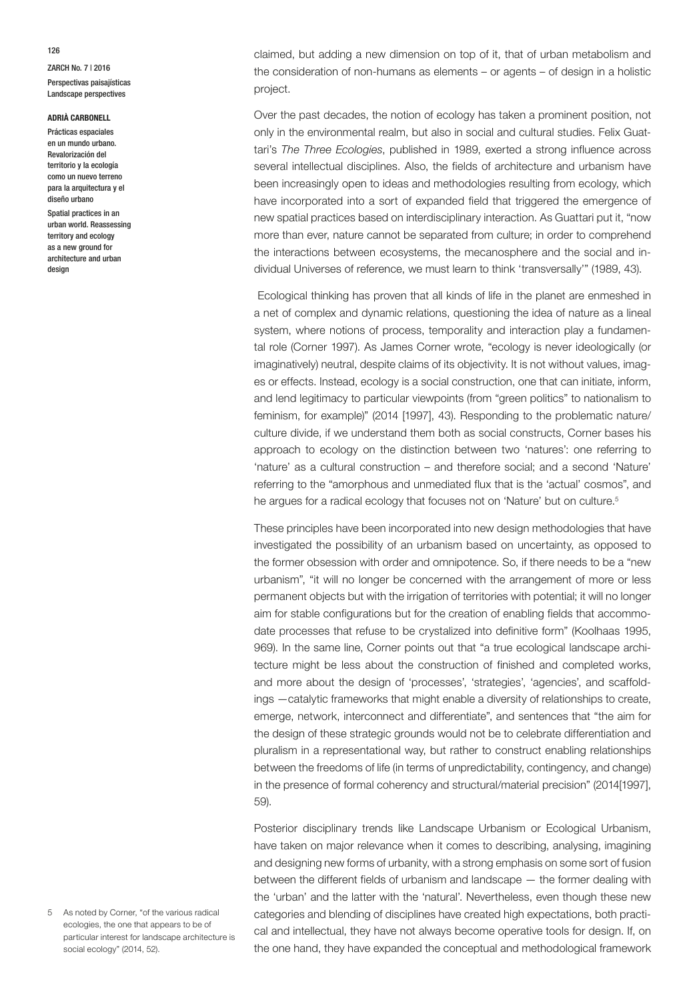#### **ADRIÀ CARBONELL**

Prácticas espaciales en un mundo urbano. Revalorización del territorio y la ecología como un nuevo terreno para la arquitectura y el diseño urbano

Spatial practices in an urban world. Reassessing territory and ecology as a new ground for architecture and urban design

claimed, but adding a new dimension on top of it, that of urban metabolism and the consideration of non-humans as elements – or agents – of design in a holistic project.

Over the past decades, the notion of ecology has taken a prominent position, not only in the environmental realm, but also in social and cultural studies. Felix Guattari's *The Three Ecologies*, published in 1989, exerted a strong influence across several intellectual disciplines. Also, the fields of architecture and urbanism have been increasingly open to ideas and methodologies resulting from ecology, which have incorporated into a sort of expanded field that triggered the emergence of new spatial practices based on interdisciplinary interaction. As Guattari put it, "now more than ever, nature cannot be separated from culture; in order to comprehend the interactions between ecosystems, the mecanosphere and the social and individual Universes of reference, we must learn to think 'transversally'" (1989, 43).

 Ecological thinking has proven that all kinds of life in the planet are enmeshed in a net of complex and dynamic relations, questioning the idea of nature as a lineal system, where notions of process, temporality and interaction play a fundamental role (Corner 1997). As James Corner wrote, "ecology is never ideologically (or imaginatively) neutral, despite claims of its objectivity. It is not without values, images or effects. Instead, ecology is a social construction, one that can initiate, inform, and lend legitimacy to particular viewpoints (from "green politics" to nationalism to feminism, for example)" (2014 [1997], 43). Responding to the problematic nature/ culture divide, if we understand them both as social constructs, Corner bases his approach to ecology on the distinction between two 'natures': one referring to 'nature' as a cultural construction – and therefore social; and a second 'Nature' referring to the "amorphous and unmediated flux that is the 'actual' cosmos", and he argues for a radical ecology that focuses not on 'Nature' but on culture.<sup>5</sup>

These principles have been incorporated into new design methodologies that have investigated the possibility of an urbanism based on uncertainty, as opposed to the former obsession with order and omnipotence. So, if there needs to be a "new urbanism", "it will no longer be concerned with the arrangement of more or less permanent objects but with the irrigation of territories with potential; it will no longer aim for stable configurations but for the creation of enabling fields that accommodate processes that refuse to be crystalized into definitive form" (Koolhaas 1995, 969). In the same line, Corner points out that "a true ecological landscape architecture might be less about the construction of finished and completed works, and more about the design of 'processes', 'strategies', 'agencies', and scaffoldings —catalytic frameworks that might enable a diversity of relationships to create, emerge, network, interconnect and differentiate", and sentences that "the aim for the design of these strategic grounds would not be to celebrate differentiation and pluralism in a representational way, but rather to construct enabling relationships between the freedoms of life (in terms of unpredictability, contingency, and change) in the presence of formal coherency and structural/material precision" (2014[1997], 59).

Posterior disciplinary trends like Landscape Urbanism or Ecological Urbanism, have taken on major relevance when it comes to describing, analysing, imagining and designing new forms of urbanity, with a strong emphasis on some sort of fusion between the different fields of urbanism and landscape — the former dealing with the 'urban' and the latter with the 'natural'. Nevertheless, even though these new categories and blending of disciplines have created high expectations, both practical and intellectual, they have not always become operative tools for design. If, on the one hand, they have expanded the conceptual and methodological framework

5 As noted by Corner, "of the various radical ecologies, the one that appears to be of particular interest for landscape architecture is social ecology" (2014, 52).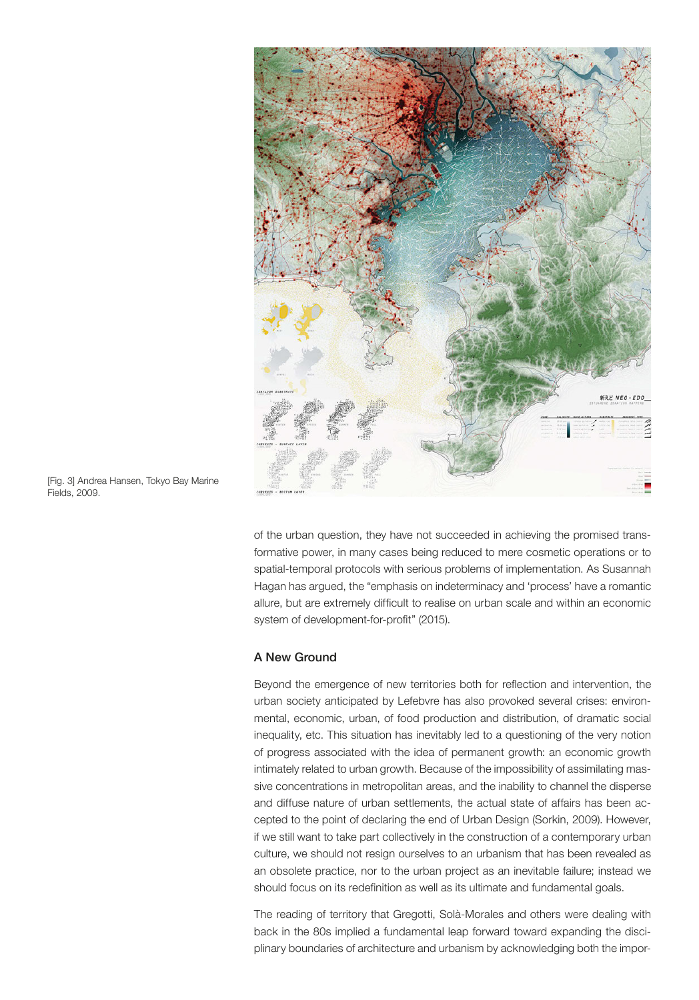

[Fig. 3] Andrea Hansen, Tokyo Bay Marine Fields, 2009.

of the urban question, they have not succeeded in achieving the promised transformative power, in many cases being reduced to mere cosmetic operations or to spatial-temporal protocols with serious problems of implementation. As Susannah Hagan has argued, the "emphasis on indeterminacy and 'process' have a romantic allure, but are extremely difficult to realise on urban scale and within an economic system of development-for-profit" (2015).

# A New Ground

Beyond the emergence of new territories both for reflection and intervention, the urban society anticipated by Lefebvre has also provoked several crises: environmental, economic, urban, of food production and distribution, of dramatic social inequality, etc. This situation has inevitably led to a questioning of the very notion of progress associated with the idea of permanent growth: an economic growth intimately related to urban growth. Because of the impossibility of assimilating massive concentrations in metropolitan areas, and the inability to channel the disperse and diffuse nature of urban settlements, the actual state of affairs has been accepted to the point of declaring the end of Urban Design (Sorkin, 2009). However, if we still want to take part collectively in the construction of a contemporary urban culture, we should not resign ourselves to an urbanism that has been revealed as an obsolete practice, nor to the urban project as an inevitable failure; instead we should focus on its redefinition as well as its ultimate and fundamental goals.

The reading of territory that Gregotti, Solà-Morales and others were dealing with back in the 80s implied a fundamental leap forward toward expanding the disciplinary boundaries of architecture and urbanism by acknowledging both the impor-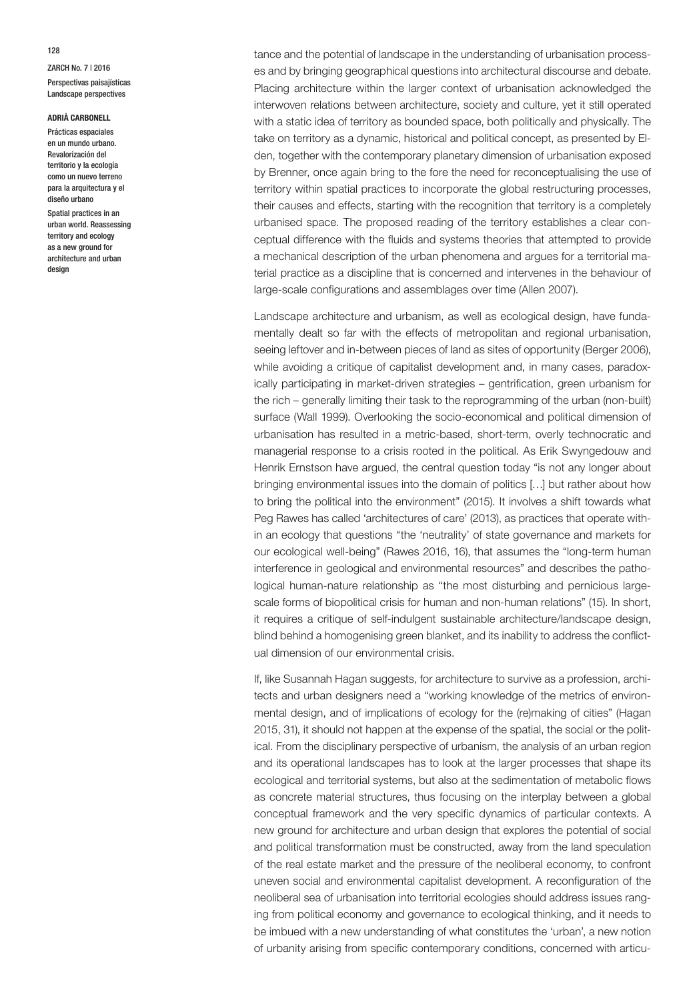### **ADRIÀ CARBONELL**

Prácticas espaciales en un mundo urbano. Revalorización del territorio y la ecología como un nuevo terreno para la arquitectura y el diseño urbano

Spatial practices in an urban world. Reassessing territory and ecology as a new ground for architecture and urban design

tance and the potential of landscape in the understanding of urbanisation processes and by bringing geographical questions into architectural discourse and debate. Placing architecture within the larger context of urbanisation acknowledged the interwoven relations between architecture, society and culture, yet it still operated with a static idea of territory as bounded space, both politically and physically. The take on territory as a dynamic, historical and political concept, as presented by Elden, together with the contemporary planetary dimension of urbanisation exposed by Brenner, once again bring to the fore the need for reconceptualising the use of territory within spatial practices to incorporate the global restructuring processes, their causes and effects, starting with the recognition that territory is a completely urbanised space. The proposed reading of the territory establishes a clear conceptual difference with the fluids and systems theories that attempted to provide a mechanical description of the urban phenomena and argues for a territorial material practice as a discipline that is concerned and intervenes in the behaviour of large-scale configurations and assemblages over time (Allen 2007).

Landscape architecture and urbanism, as well as ecological design, have fundamentally dealt so far with the effects of metropolitan and regional urbanisation, seeing leftover and in-between pieces of land as sites of opportunity (Berger 2006), while avoiding a critique of capitalist development and, in many cases, paradoxically participating in market-driven strategies – gentrification, green urbanism for the rich – generally limiting their task to the reprogramming of the urban (non-built) surface (Wall 1999). Overlooking the socio-economical and political dimension of urbanisation has resulted in a metric-based, short-term, overly technocratic and managerial response to a crisis rooted in the political. As Erik Swyngedouw and Henrik Ernstson have argued, the central question today "is not any longer about bringing environmental issues into the domain of politics […] but rather about how to bring the political into the environment" (2015). It involves a shift towards what Peg Rawes has called 'architectures of care' (2013), as practices that operate within an ecology that questions "the 'neutrality' of state governance and markets for our ecological well-being" (Rawes 2016, 16), that assumes the "long-term human interference in geological and environmental resources" and describes the pathological human-nature relationship as "the most disturbing and pernicious largescale forms of biopolitical crisis for human and non-human relations" (15). In short, it requires a critique of self-indulgent sustainable architecture/landscape design, blind behind a homogenising green blanket, and its inability to address the conflictual dimension of our environmental crisis.

If, like Susannah Hagan suggests, for architecture to survive as a profession, architects and urban designers need a "working knowledge of the metrics of environmental design, and of implications of ecology for the (re)making of cities" (Hagan 2015, 31), it should not happen at the expense of the spatial, the social or the political. From the disciplinary perspective of urbanism, the analysis of an urban region and its operational landscapes has to look at the larger processes that shape its ecological and territorial systems, but also at the sedimentation of metabolic flows as concrete material structures, thus focusing on the interplay between a global conceptual framework and the very specific dynamics of particular contexts. A new ground for architecture and urban design that explores the potential of social and political transformation must be constructed, away from the land speculation of the real estate market and the pressure of the neoliberal economy, to confront uneven social and environmental capitalist development. A reconfiguration of the neoliberal sea of urbanisation into territorial ecologies should address issues ranging from political economy and governance to ecological thinking, and it needs to be imbued with a new understanding of what constitutes the 'urban', a new notion of urbanity arising from specific contemporary conditions, concerned with articu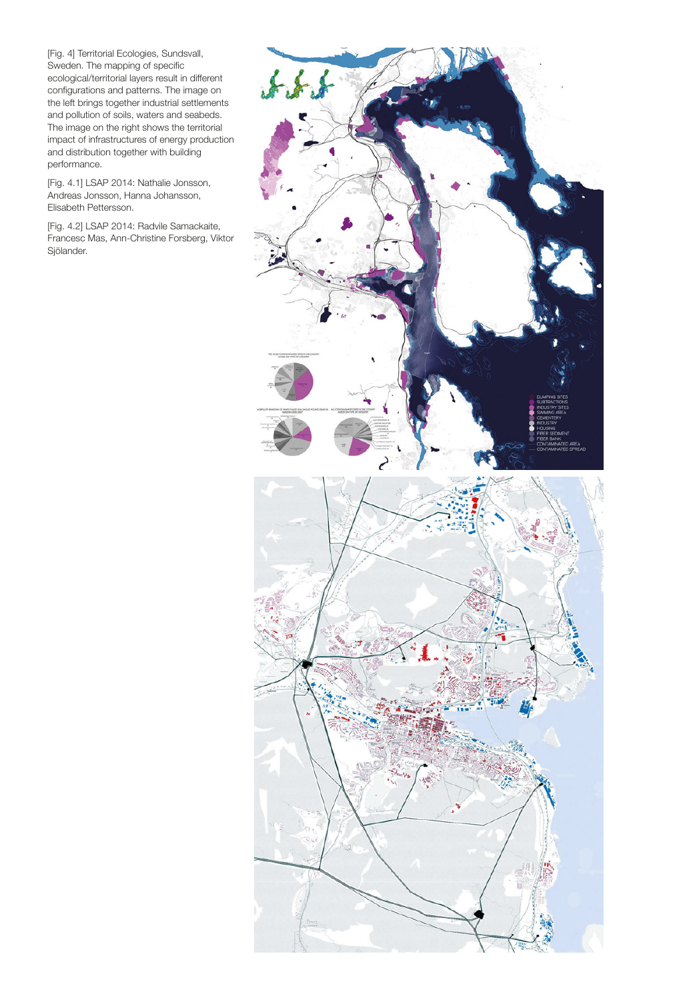[Fig. 4] Territorial Ecologies, Sundsvall, Sweden. The mapping of specific ecological/territorial layers result in different configurations and patterns. The image on the left brings together industrial settlements and pollution of soils, waters and seabeds. The image on the right shows the territorial impact of infrastructures of energy production and distribution together with building performance.

[Fig. 4.1] LSAP 2014: Nathalie Jonsson, Andreas Jonsson, Hanna Johansson, Elisabeth Pettersson.

[Fig. 4.2] LSAP 2014: Radvile Samackaite, Francesc Mas, Ann-Christine Forsberg, Viktor Sjölander.

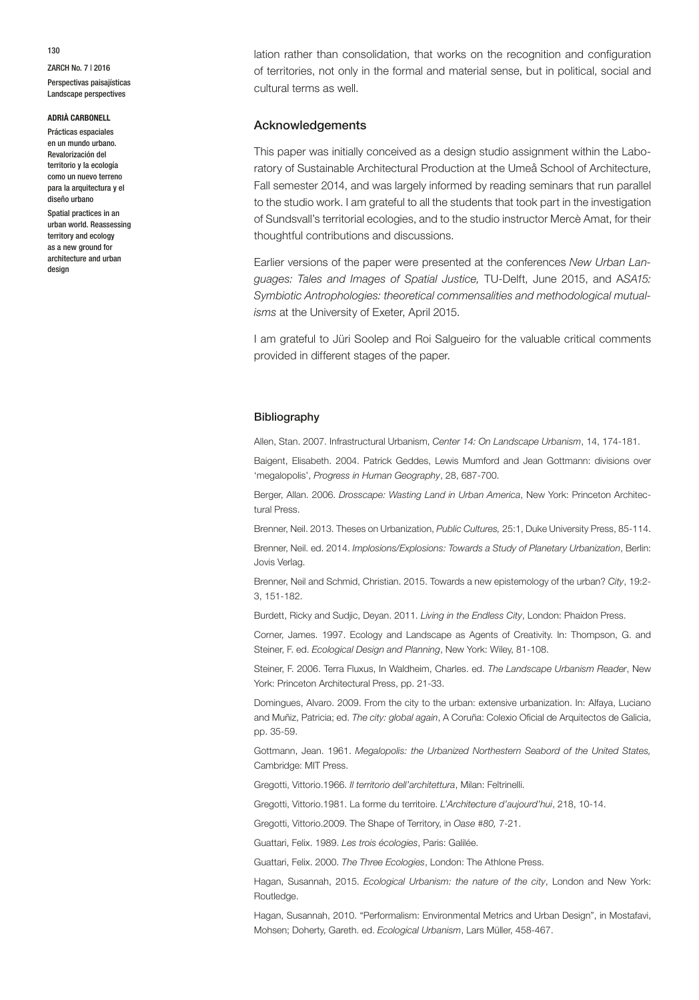### **ADRIÀ CARBONELL**

Prácticas espaciales en un mundo urbano. Revalorización del territorio y la ecología como un nuevo terreno para la arquitectura y el diseño urbano

Spatial practices in an urban world. Reassessing territory and ecology as a new ground for architecture and urban design

lation rather than consolidation, that works on the recognition and configuration of territories, not only in the formal and material sense, but in political, social and cultural terms as well.

## Acknowledgements

This paper was initially conceived as a design studio assignment within the Laboratory of Sustainable Architectural Production at the Umeå School of Architecture, Fall semester 2014, and was largely informed by reading seminars that run parallel to the studio work. I am grateful to all the students that took part in the investigation of Sundsvall's territorial ecologies, and to the studio instructor Mercè Amat, for their thoughtful contributions and discussions.

Earlier versions of the paper were presented at the conferences *New Urban Languages: Tales and Images of Spatial Justice,* TU-Delft, June 2015, and A*SA15: Symbiotic Antrophologies: theoretical commensalities and methodological mutualisms* at the University of Exeter, April 2015.

I am grateful to Jüri Soolep and Roi Salgueiro for the valuable critical comments provided in different stages of the paper.

#### Bibliography

Allen, Stan. 2007. Infrastructural Urbanism, *Center 14: On Landscape Urbanism*, 14, 174-181.

Baigent, Elisabeth. 2004. Patrick Geddes, Lewis Mumford and Jean Gottmann: divisions over 'megalopolis', *Progress in Human Geography*, 28, 687-700.

Berger, Allan. 2006. *Drosscape: Wasting Land in Urban America*, New York: Princeton Architectural Press.

Brenner, Neil. 2013. Theses on Urbanization, *Public Cultures,* 25:1, Duke University Press, 85-114.

Brenner, Neil. ed. 2014. *Implosions/Explosions: Towards a Study of Planetary Urbanization*, Berlin: Jovis Verlag.

Brenner, Neil and Schmid, Christian. 2015. Towards a new epistemology of the urban? *City*, 19:2- 3, 151-182.

Burdett, Ricky and Sudjic, Deyan. 2011. *Living in the Endless City*, London: Phaidon Press.

Corner, James. 1997. Ecology and Landscape as Agents of Creativity. In: Thompson, G. and Steiner, F. ed. *Ecological Design and Planning*, New York: Wiley, 81-108.

Steiner, F. 2006. Terra Fluxus, In Waldheim, Charles. ed. *The Landscape Urbanism Reader*, New York: Princeton Architectural Press, pp. 21-33.

Domingues, Alvaro. 2009. From the city to the urban: extensive urbanization. In: Alfaya, Luciano and Muñiz, Patricia; ed. *The city: global again*, A Coruña: Colexio Oficial de Arquitectos de Galicia, pp. 35-59.

Gottmann, Jean. 1961. *Megalopolis: the Urbanized Northestern Seabord of the United States,*  Cambridge: MIT Press.

Gregotti, Vittorio.1966. *Il territorio dell'architettura*, Milan: Feltrinelli.

Gregotti, Vittorio.1981. La forme du territoire. *L'Architecture d'aujourd'hui*, 218, 10-14.

Gregotti, Vittorio.2009. The Shape of Territory, in *Oase #80,* 7-21.

Guattari, Felix. 1989. *Les trois écologies*, Paris: Galilée.

Guattari, Felix. 2000. *The Three Ecologies*, London: The Athlone Press.

Hagan, Susannah, 2015. *Ecological Urbanism: the nature of the city*, London and New York: Routledge.

Hagan, Susannah, 2010. "Performalism: Environmental Metrics and Urban Design", in Mostafavi, Mohsen; Doherty, Gareth. ed. *Ecological Urbanism*, Lars Müller, 458-467.

130